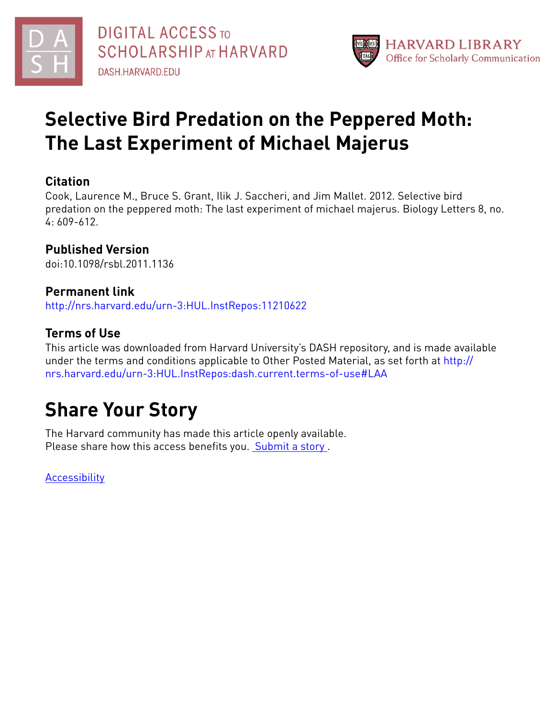



## **Selective Bird Predation on the Peppered Moth: The Last Experiment of Michael Majerus**

### **Citation**

Cook, Laurence M., Bruce S. Grant, Ilik J. Saccheri, and Jim Mallet. 2012. Selective bird predation on the peppered moth: The last experiment of michael majerus. Biology Letters 8, no. 4: 609-612.

## **Published Version**

doi:10.1098/rsbl.2011.1136

### **Permanent link**

<http://nrs.harvard.edu/urn-3:HUL.InstRepos:11210622>

## **Terms of Use**

This article was downloaded from Harvard University's DASH repository, and is made available under the terms and conditions applicable to Other Posted Material, as set forth at [http://](http://nrs.harvard.edu/urn-3:HUL.InstRepos:dash.current.terms-of-use#LAA) [nrs.harvard.edu/urn-3:HUL.InstRepos:dash.current.terms-of-use#LAA](http://nrs.harvard.edu/urn-3:HUL.InstRepos:dash.current.terms-of-use#LAA)

# **Share Your Story**

The Harvard community has made this article openly available. Please share how this access benefits you. [Submit](http://osc.hul.harvard.edu/dash/open-access-feedback?handle=&title=Selective%20Bird%20Predation%20on%20the%20Peppered%20Moth:%20The%20Last%20Experiment%20of%20Michael%20Majerus&community=1/1&collection=1/2&owningCollection1/2&harvardAuthors=6300fd9a9e59e1912acd311744d48d61&departmentOrganismic%20and%20Evolutionary%20Biology) a story .

**[Accessibility](https://dash.harvard.edu/pages/accessibility)**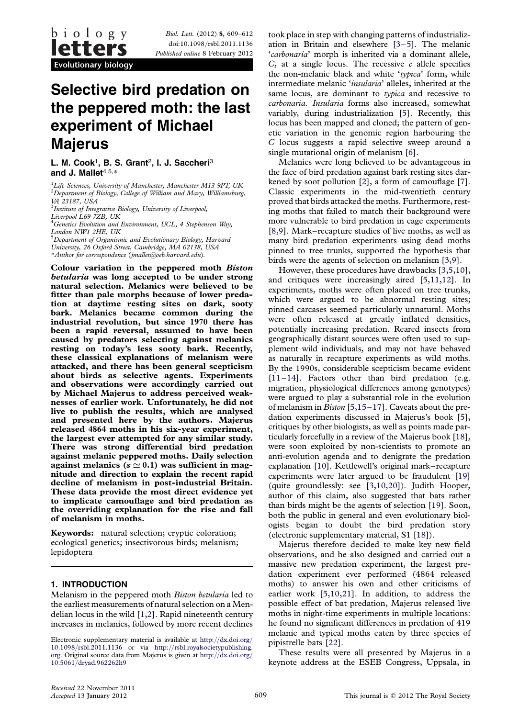Biol. Lett. (2012) 8, 609–612 doi:10.1098/rsbl.2011.1136 Published online 8 February 2012

Evolutionary biology

## Selective bird predation on the peppered moth: the last experiment of Michael **Majerus**

L. M. Cook<sup>1</sup>, B. S. Grant<sup>2</sup>, I. J. Saccheri<sup>3</sup> and J. Mallet $4,5,*$ 

<sup>1</sup>Life Sciences, University of Manchester, Manchester M13 9PT, UK  ${}^{2}$ Department of Biology, College of William and Mary, Williamsburg, VA 23187, USA

<sup>3</sup>Institute of Integrative Biology, University of Liverpool,

Liverpool L69 7ZB, UK<br><sup>4</sup>Genetics Evolution and Environment, UCL, 4 Stephenson Way, London NW1 2HE, UK

<sup>5</sup>Department of Organismic and Evolutionary Biology, Harvard University, 26 Oxford Street, Cambridge, MA 02138, USA \*Author for correspondence ([jmallet@oeb.harvard.edu](mailto:jmallet@oeb.harvard.edu)).

Colour variation in the peppered moth Biston betularia was long accepted to be under strong natural selection. Melanics were believed to be fitter than pale morphs because of lower predation at daytime resting sites on dark, sooty bark. Melanics became common during the industrial revolution, but since 1970 there has been a rapid reversal, assumed to have been caused by predators selecting against melanics resting on today's less sooty bark. Recently, these classical explanations of melanism were attacked, and there has been general scepticism about birds as selective agents. Experiments and observations were accordingly carried out by Michael Majerus to address perceived weaknesses of earlier work. Unfortunately, he did not live to publish the results, which are analysed and presented here by the authors. Majerus released 4864 moths in his six-year experiment, the largest ever attempted for any similar study. There was strong differential bird predation against melanic peppered moths. Daily selection against melanics  $(s \approx 0.1)$  was sufficient in magnitude and direction to explain the recent rapid decline of melanism in post-industrial Britain. These data provide the most direct evidence yet to implicate camouflage and bird predation as the overriding explanation for the rise and fall of melanism in moths.

Keywords: natural selection; cryptic coloration; ecological genetics; insectivorous birds; melanism; lepidoptera

#### 1. INTRODUCTION

Melanism in the peppered moth Biston betularia led to the earliest measurements of natural selection on a Mendelian locus in the wild [\[1,2](#page-3-0)]. Rapid nineteenth century increases in melanics, followed by more recent declines took place in step with changing patterns of industrialization in Britain and elsewhere [\[3](#page-3-0)–[5](#page-3-0)]. The melanic 'carbonaria' morph is inherited via a dominant allele,  $C$ , at a single locus. The recessive c allele specifies the non-melanic black and white 'typica' form, while intermediate melanic 'insularia' alleles, inherited at the same locus, are dominant to typica and recessive to carbonaria. Insularia forms also increased, somewhat variably, during industrialization [\[5\]](#page-3-0). Recently, this locus has been mapped and cloned; the pattern of genetic variation in the genomic region harbouring the C locus suggests a rapid selective sweep around a single mutational origin of melanism [[6](#page-3-0)].

Melanics were long believed to be advantageous in the face of bird predation against bark resting sites darkened by soot pollution [\[2\]](#page-3-0), a form of camouflage [\[7\]](#page-3-0). Classic experiments in the mid-twentieth century proved that birds attacked the moths. Furthermore, resting moths that failed to match their background were more vulnerable to bird predation in cage experiments [\[8,](#page-3-0)[9](#page-4-0)]. Mark–recapture studies of live moths, as well as many bird predation experiments using dead moths pinned to tree trunks, supported the hypothesis that birds were the agents of selection on melanism [\[3,](#page-3-0)[9](#page-4-0)].

However, these procedures have drawbacks [\[3,5](#page-3-0)[,10\]](#page-4-0), and critiques were increasingly aired [[5](#page-3-0)[,11,12\]](#page-4-0). In experiments, moths were often placed on tree trunks, which were argued to be abnormal resting sites; pinned carcases seemed particularly unnatural. Moths were often released at greatly inflated densities, potentially increasing predation. Reared insects from geographically distant sources were often used to supplement wild individuals, and may not have behaved as naturally in recapture experiments as wild moths. By the 1990s, considerable scepticism became evident  $[11–14]$  $[11–14]$  $[11–14]$  $[11–14]$ . Factors other than bird predation (e.g. migration, physiological differences among genotypes) were argued to play a substantial role in the evolution of melanism in Biston [\[5,](#page-3-0)[15](#page-4-0)–[17\]](#page-4-0). Caveats about the predation experiments discussed in Majerus's book [\[5\]](#page-3-0), critiques by other biologists, as well as points made particularly forcefully in a review of the Majerus book [\[18\]](#page-4-0), were soon exploited by non-scientists to promote an anti-evolution agenda and to denigrate the predation explanation [[10\]](#page-4-0). Kettlewell's original mark–recapture experiments were later argued to be fraudulent [[19\]](#page-4-0) (quite groundlessly: see [[3](#page-3-0)[,10](#page-4-0),[20\]](#page-4-0)). Judith Hooper, author of this claim, also suggested that bats rather than birds might be the agents of selection [[19\]](#page-4-0). Soon, both the public in general and even evolutionary biologists began to doubt the bird predation story (electronic supplementary material, S1 [\[18](#page-4-0)]).

Majerus therefore decided to make key new field observations, and he also designed and carried out a massive new predation experiment, the largest predation experiment ever performed (4864 released moths) to answer his own and other criticisms of earlier work [[5](#page-3-0)[,10,21](#page-4-0)]. In addition, to address the possible effect of bat predation, Majerus released live moths in night-time experiments in multiple locations: he found no significant differences in predation of 419 melanic and typical moths eaten by three species of pipistrelle bats [[22\]](#page-4-0).

These results were all presented by Majerus in a keynote address at the ESEB Congress, Uppsala, in

Electronic supplementary material is available at [http:](http://dx.doi.org/10.1098/rsbl.2011.1136)//[dx.doi.org](http://dx.doi.org/10.1098/rsbl.2011.1136)/ 10.1098/[rsbl.2011.1136](http://dx.doi.org/10.1098/rsbl.2011.1136) or via [http:](http://rsbl.royalsocietypublishing.org.)//[rsbl.royalsocietypublishing.](http://rsbl.royalsocietypublishing.org.) [org.](http://rsbl.royalsocietypublishing.org.) Original source data from Majerus is given at [http:](http://dx.doi.org/10.5061/dryad.962262h9)//[dx.doi.org](http://dx.doi.org/10.5061/dryad.962262h9)/ 10.5061/[dryad.962262h9](http://dx.doi.org/10.5061/dryad.962262h9)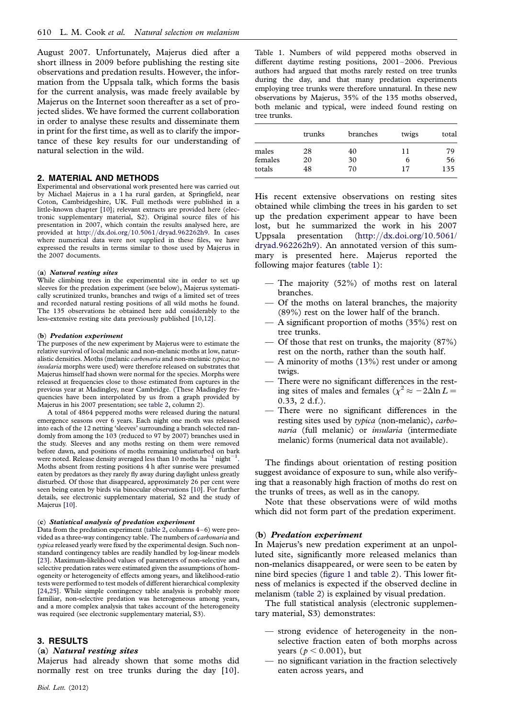August 2007. Unfortunately, Majerus died after a short illness in 2009 before publishing the resting site observations and predation results. However, the information from the Uppsala talk, which forms the basis for the current analysis, was made freely available by Majerus on the Internet soon thereafter as a set of projected slides. We have formed the current collaboration in order to analyse these results and disseminate them in print for the first time, as well as to clarify the importance of these key results for our understanding of natural selection in the wild.

#### 2. MATERIAL AND METHODS

Experimental and observational work presented here was carried out by Michael Majerus in a 1 ha rural garden, at Springfield, near Coton, Cambridgeshire, UK. Full methods were published in a little-known chapter [\[10\]](#page-4-0); relevant extracts are provided here (electronic supplementary material, S2). Original source files of his presentation in 2007, which contain the results analysed here, are provided at [http:](http://dx.doi.org/10.5061/dryad.962262h9)//dx.doi.org/10.5061/[dryad.962262h9.](http://dx.doi.org/10.5061/dryad.962262h9) In cases where numerical data were not supplied in these files, we have expressed the results in terms similar to those used by Majerus in the 2007 documents.

#### (a) Natural resting sites

While climbing trees in the experimental site in order to set up sleeves for the predation experiment (see below), Majerus systematically scrutinized trunks, branches and twigs of a limited set of trees and recorded natural resting positions of all wild moths he found. The 135 observations he obtained here add considerably to the less-extensive resting site data previously published [[10,12\]](#page-4-0).

#### (b) Predation experiment

The purposes of the new experiment by Majerus were to estimate the relative survival of local melanic and non-melanic moths at low, naturalistic densities. Moths (melanic carbonaria and non-melanic typica; no insularia morphs were used) were therefore released on substrates that Majerus himself had shown were normal for the species. Morphs were released at frequencies close to those estimated from captures in the previous year at Madingley, near Cambridge. (These Madingley frequencies have been interpolated by us from a graph provided by Majerus in his 2007 presentation; see [table 2,](#page-3-0) column 2).

A total of 4864 peppered moths were released during the natural emergence seasons over 6 years. Each night one moth was released into each of the 12 netting 'sleeves' surrounding a branch selected randomly from among the 103 (reduced to 97 by 2007) branches used in the study. Sleeves and any moths resting on them were removed before dawn, and positions of moths remaining undisturbed on bark were noted. Release density averaged less than  $10$  moths ha<sup>-1</sup> night<sup>-1</sup> . Moths absent from resting positions 4 h after sunrise were presumed eaten by predators as they rarely fly away during daylight unless greatly disturbed. Of those that disappeared, approximately 26 per cent were seen being eaten by birds via binocular observations [\[10\]](#page-4-0). For further details, see electronic supplementary material, S2 and the study of Majerus [[10](#page-4-0)].

#### (c) Statistical analysis of predation experiment

Data from the predation experiment [\(table 2](#page-3-0), columns 4–6) were provided as a three-way contingency table. The numbers of carbonaria and typica released yearly were fixed by the experimental design. Such nonstandard contingency tables are readily handled by log-linear models [[23](#page-4-0)]. Maximum-likelihood values of parameters of non-selective and selective predation rates were estimated given the assumptions of homogeneity or heterogeneity of effects among years, and likelihood-ratio tests were performed to test models of different hierarchical complexity [[24](#page-4-0),[25](#page-4-0)]. While simple contingency table analysis is probably more familiar, non-selective predation was heterogeneous among years, and a more complex analysis that takes account of the heterogeneity was required (see electronic supplementary material, S3).

#### 3. RESULTS

#### (a) Natural resting sites

Majerus had already shown that some moths did normally rest on tree trunks during the day [\[10](#page-4-0)].

Table 1. Numbers of wild peppered moths observed in different daytime resting positions, 2001–2006. Previous authors had argued that moths rarely rested on tree trunks during the day, and that many predation experiments employing tree trunks were therefore unnatural. In these new observations by Majerus, 35% of the 135 moths observed, both melanic and typical, were indeed found resting on tree trunks.

|                            | trunks   | branches | twigs   | total    |
|----------------------------|----------|----------|---------|----------|
| males<br>females<br>totals | 28<br>20 | 40<br>30 | 11<br>b | 79<br>56 |
|                            | 48       | 70       | 17      | 135      |

His recent extensive observations on resting sites obtained while climbing the trees in his garden to set up the predation experiment appear to have been lost, but he summarized the work in his 2007 Uppsala presentation ([http:](http://dx.doi.org/10.5061/dryad.962262h9)//[dx.doi.org/10.5061/](http://dx.doi.org/10.5061/dryad.962262h9) [dryad.962262h9\)](http://dx.doi.org/10.5061/dryad.962262h9). An annotated version of this summary is presented here. Majerus reported the following major features (table 1):

- The majority (52%) of moths rest on lateral branches.
- Of the moths on lateral branches, the majority (89%) rest on the lower half of the branch.
- $-$  A significant proportion of moths (35%) rest on tree trunks.
- Of those that rest on trunks, the majority (87%) rest on the north, rather than the south half.
- A minority of moths (13%) rest under or among twigs.
- There were no significant differences in the resting sites of males and females  $(\chi^2 \approx -2\Delta \ln L =$ 0.33, 2 d.f.).
- There were no significant differences in the resting sites used by typica (non-melanic), carbonaria (full melanic) or insularia (intermediate melanic) forms (numerical data not available).

The findings about orientation of resting position suggest avoidance of exposure to sun, while also verifying that a reasonably high fraction of moths do rest on the trunks of trees, as well as in the canopy.

Note that these observations were of wild moths which did not form part of the predation experiment.

#### (b) Predation experiment

In Majerus's new predation experiment at an unpolluted site, significantly more released melanics than non-melanics disappeared, or were seen to be eaten by nine bird species ([figure 1](#page-3-0) and [table 2\)](#page-3-0). This lower fitness of melanics is expected if the observed decline in melanism [\(table 2\)](#page-3-0) is explained by visual predation.

The full statistical analysis (electronic supplementary material, S3) demonstrates:

- strong evidence of heterogeneity in the nonselective fraction eaten of both morphs across vears ( $p < 0.001$ ), but
- no significant variation in the fraction selectively eaten across years, and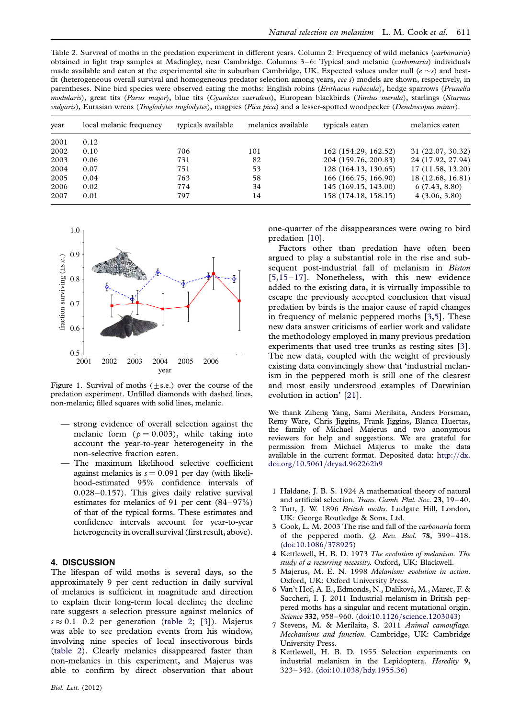<span id="page-3-0"></span>Table 2. Survival of moths in the predation experiment in different years. Column 2: Frequency of wild melanics (carbonaria) obtained in light trap samples at Madingley, near Cambridge. Columns 3–6: Typical and melanic (carbonaria) individuals made available and eaten at the experimental site in suburban Cambridge, UK. Expected values under null ( $e \sim s$ ) and bestfit (heterogeneous overall survival and homogeneous predator selection among years, eee s) models are shown, respectively, in parentheses. Nine bird species were observed eating the moths: English robins (Erithacus rubecula), hedge sparrows (Prunella modularis), great tits (Parus major), blue tits (Cyanistes caeruleus), European blackbirds (Turdus merula), starlings (Sturnus vulgaris), Eurasian wrens (Troglodytes troglodytes), magpies (Pica pica) and a lesser-spotted woodpecker (Dendrocopus minor).

| year | local melanic frequency | typicals available | melanics available | typicals eaten       | melanics eaten    |
|------|-------------------------|--------------------|--------------------|----------------------|-------------------|
| 2001 | 0.12                    |                    |                    |                      |                   |
| 2002 | 0.10                    | 706                | 101                | 162 (154.29, 162.52) | 31 (22.07, 30.32) |
| 2003 | 0.06                    | 731                | 82                 | 204 (159.76, 200.83) | 24 (17.92, 27.94) |
| 2004 | 0.07                    | 751                | 53                 | 128 (164.13, 130.65) | 17 (11.58, 13.20) |
| 2005 | 0.04                    | 763                | 58                 | 166 (166.75, 166.90) | 18 (12.68, 16.81) |
| 2006 | 0.02                    | 774                | 34                 | 145 (169.15, 143.00) | 6(7.43, 8.80)     |
| 2007 | 0.01                    | 797                | 14                 | 158 (174.18, 158.15) | 4(3.06, 3.80)     |



Figure 1. Survival of moths  $(+s.e.)$  over the course of the predation experiment. Unfilled diamonds with dashed lines, non-melanic; filled squares with solid lines, melanic.

- strong evidence of overall selection against the melanic form ( $p = 0.003$ ), while taking into account the year-to-year heterogeneity in the non-selective fraction eaten.
- The maximum likelihood selective coefficient against melanics is  $s = 0.091$  per day (with likelihood-estimated 95% confidence intervals of 0.028–0.157). This gives daily relative survival estimates for melanics of 91 per cent (84–97%) of that of the typical forms. These estimates and confidence intervals account for year-to-year heterogeneity in overall survival (first result, above).

#### 4. DISCUSSION

The lifespan of wild moths is several days, so the approximately 9 per cent reduction in daily survival of melanics is sufficient in magnitude and direction to explain their long-term local decline; the decline rate suggests a selection pressure against melanics of  $s \approx 0.1 - 0.2$  per generation (table 2; [3]). Majerus was able to see predation events from his window, involving nine species of local insectivorous birds (table 2). Clearly melanics disappeared faster than non-melanics in this experiment, and Majerus was able to confirm by direct observation that about one-quarter of the disappearances were owing to bird predation [\[10](#page-4-0)].

Factors other than predation have often been argued to play a substantial role in the rise and subsequent post-industrial fall of melanism in Biston [5,[15](#page-4-0)–[17\]](#page-4-0). Nonetheless, with this new evidence added to the existing data, it is virtually impossible to escape the previously accepted conclusion that visual predation by birds is the major cause of rapid changes in frequency of melanic peppered moths [3,5]. These new data answer criticisms of earlier work and validate the methodology employed in many previous predation experiments that used tree trunks as resting sites [3]. The new data, coupled with the weight of previously existing data convincingly show that 'industrial melanism in the peppered moth is still one of the clearest and most easily understood examples of Darwinian evolution in action' [[21\]](#page-4-0).

We thank Ziheng Yang, Sami Merilaita, Anders Forsman, Remy Ware, Chris Jiggins, Frank Jiggins, Blanca Huertas, the family of Michael Majerus and two anonymous reviewers for help and suggestions. We are grateful for permission from Michael Majerus to make the data available in the current format. Deposited data: [http:](http://dx.doi.org/10.5061/dryad.962262h9)//dx. doi.org/10.5061/[dryad.962262h9](http://dx.doi.org/10.5061/dryad.962262h9)

- 1 Haldane, J. B. S. 1924 A mathematical theory of natural and artificial selection. Trans. Camb. Phil. Soc. 23, 19–40.
- 2 Tutt, J. W. 1896 British moths. Ludgate Hill, London, UK: George Routledge & Sons, Ltd.
- 3 Cook, L. M. 2003 The rise and fall of the carbonaria form of the peppered moth. Q. Rev. Biol. 78, 399–418. ([doi:10.1086](http://dx.doi.org/10.1086/378925)/378925)
- 4 Kettlewell, H. B. D. 1973 The evolution of melanism. The study of a recurring necessity. Oxford, UK: Blackwell.
- 5 Majerus, M. E. N. 1998 Melanism: evolution in action. Oxford, UK: Oxford University Press.
- 6 Van't Hof, A. E., Edmonds, N., Daliková, M., Marec, F. & Saccheri, I. J. 2011 Industrial melanism in British peppered moths has a singular and recent mutational origin. Science 332, 958-960. (doi:10.1126/[science.1203043\)](http://dx.doi.org/10.1126/science.1203043)
- 7 Stevens, M. & Merilaita, S. 2011 Animal camouflage. Mechanisms and function. Cambridge, UK: Cambridge University Press.
- 8 Kettlewell, H. B. D. 1955 Selection experiments on industrial melanism in the Lepidoptera. Heredity 9, 323–342. (doi:10.1038/[hdy.1955.36](http://dx.doi.org/10.1038/hdy.1955.36))